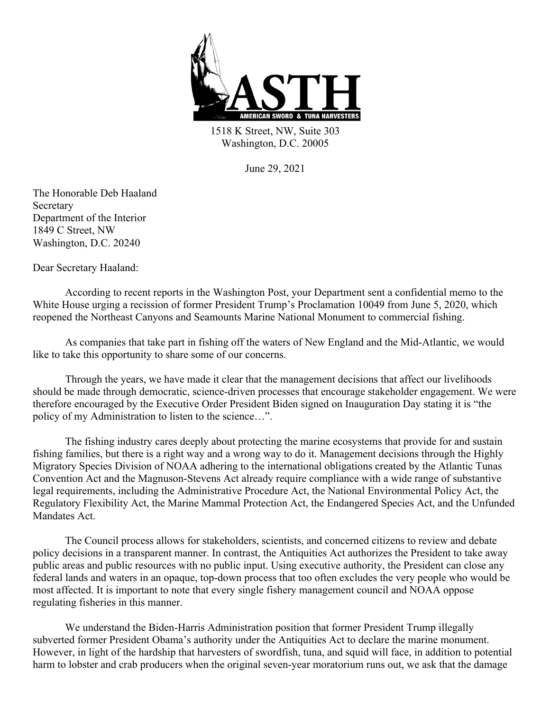

1518 K Street, NW, Suite 303 Washington, D.C. 20005

June 29, 2021

The Honorable Deb Haaland Secretary Department of the Interior 1849 C Street, NW Washington, D.C. 20240

Dear Secretary Haaland:

According to recent reports in the Washington Post, your Department sent a confidential memo to the White House urging a recission of former President Trump's Proclamation 10049 from June 5, 2020, which reopened the Northeast Canyons and Seamounts Marine National Monument to commercial fishing.

As companies that take part in fishing off the waters of New England and the Mid-Atlantic, we would like to take this opportunity to share some of our concerns.

Through the years, we have made it clear that the management decisions that affect our livelihoods should be made through democratic, science-driven processes that encourage stakeholder engagement. We were therefore encouraged by the Executive Order President Biden signed on Inauguration Day stating it is "the policy of my Administration to listen to the science…".

The fishing industry cares deeply about protecting the marine ecosystems that provide for and sustain fishing families, but there is a right way and a wrong way to do it. Management decisions through the Highly Migratory Species Division of NOAA adhering to the international obligations created by the Atlantic Tunas Convention Act and the Magnuson-Stevens Act already require compliance with a wide range of substantive legal requirements, including the Administrative Procedure Act, the National Environmental Policy Act, the Regulatory Flexibility Act, the Marine Mammal Protection Act, the Endangered Species Act, and the Unfunded Mandates Act.

The Council process allows for stakeholders, scientists, and concerned citizens to review and debate policy decisions in a transparent manner. In contrast, the Antiquities Act authorizes the President to take away public areas and public resources with no public input. Using executive authority, the President can close any federal lands and waters in an opaque, top-down process that too often excludes the very people who would be most affected. It is important to note that every single fishery management council and NOAA oppose regulating fisheries in this manner.

We understand the Biden-Harris Administration position that former President Trump illegally subverted former President Obama's authority under the Antiquities Act to declare the marine monument. However, in light of the hardship that harvesters of swordfish, tuna, and squid will face, in addition to potential harm to lobster and crab producers when the original seven-year moratorium runs out, we ask that the damage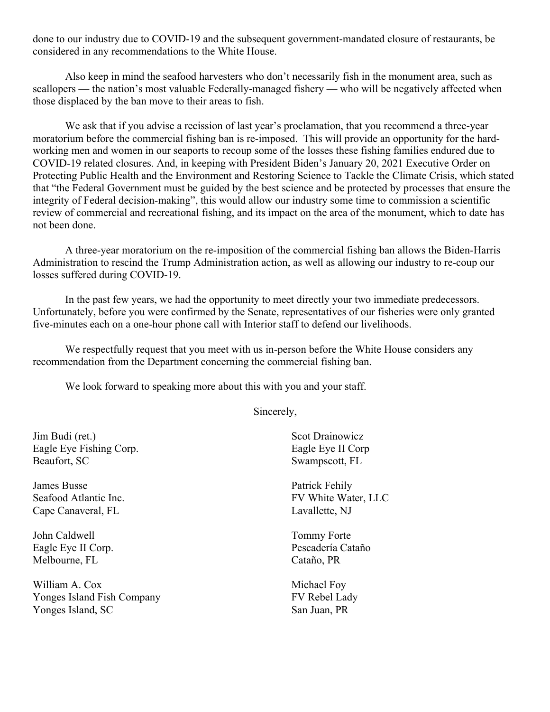done to our industry due to COVID-19 and the subsequent government-mandated closure of restaurants, be considered in any recommendations to the White House.

Also keep in mind the seafood harvesters who don't necessarily fish in the monument area, such as scallopers — the nation's most valuable Federally-managed fishery — who will be negatively affected when those displaced by the ban move to their areas to fish.

We ask that if you advise a recission of last year's proclamation, that you recommend a three-year moratorium before the commercial fishing ban is re-imposed. This will provide an opportunity for the hardworking men and women in our seaports to recoup some of the losses these fishing families endured due to COVID-19 related closures. And, in keeping with President Biden's January 20, 2021 Executive Order on Protecting Public Health and the Environment and Restoring Science to Tackle the Climate Crisis, which stated that "the Federal Government must be guided by the best science and be protected by processes that ensure the integrity of Federal decision-making", this would allow our industry some time to commission a scientific review of commercial and recreational fishing, and its impact on the area of the monument, which to date has not been done.

A three-year moratorium on the re-imposition of the commercial fishing ban allows the Biden-Harris Administration to rescind the Trump Administration action, as well as allowing our industry to re-coup our losses suffered during COVID-19.

In the past few years, we had the opportunity to meet directly your two immediate predecessors. Unfortunately, before you were confirmed by the Senate, representatives of our fisheries were only granted five-minutes each on a one-hour phone call with Interior staff to defend our livelihoods.

We respectfully request that you meet with us in-person before the White House considers any recommendation from the Department concerning the commercial fishing ban.

We look forward to speaking more about this with you and your staff.

Sincerely,

Jim Budi (ret.) Eagle Eye Fishing Corp. Beaufort, SC

James Busse Seafood Atlantic Inc. Cape Canaveral, FL

John Caldwell Eagle Eye II Corp. Melbourne, FL

William A. Cox Yonges Island Fish Company Yonges Island, SC

Scot Drainowicz Eagle Eye II Corp Swampscott, FL

Patrick Fehily FV White Water, LLC Lavallette, NJ

Tommy Forte Pescadería Cataño Cataño, PR

Michael Foy FV Rebel Lady San Juan, PR